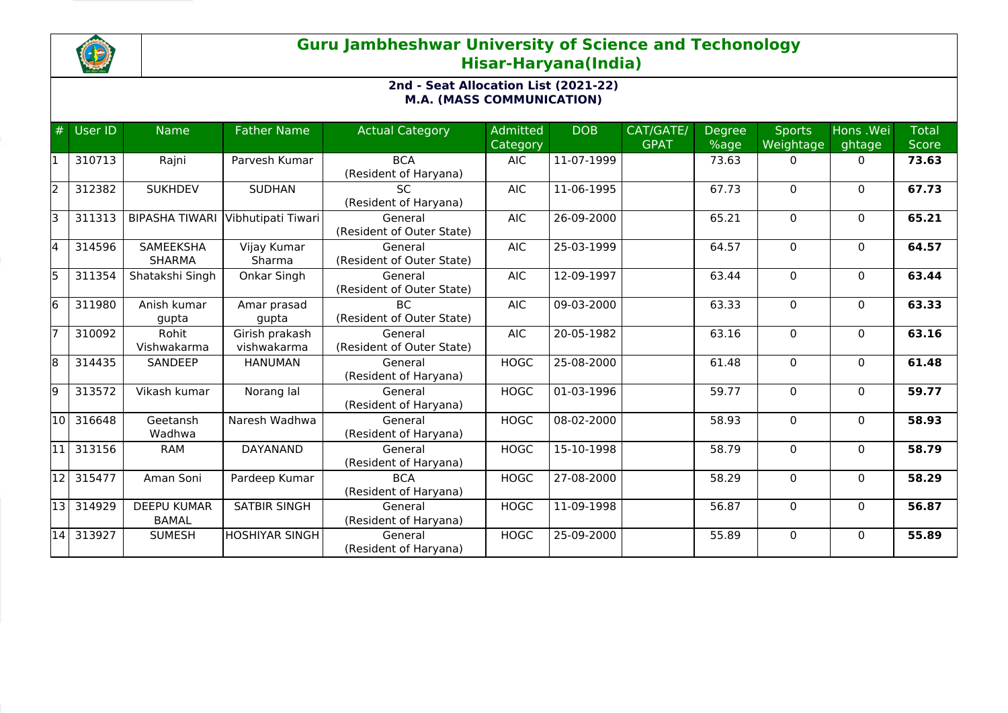

## **Guru Jambheshwar University of Science and Techonology Hisar-Haryana(India)**

## **2nd - Seat Allocation List (2021-22) M.A. (MASS COMMUNICATION)**

| #  | User ID | <b>Name</b>                        | <b>Father Name</b>            | <b>Actual Category</b>               | <b>Admitted</b><br>Category | <b>DOB</b> | CAT/GATE/<br><b>GPAT</b> | Degree<br>%age | <b>Sports</b><br>Weightage | Hons .Wei<br>ghtage | <b>Total</b><br><b>Score</b> |
|----|---------|------------------------------------|-------------------------------|--------------------------------------|-----------------------------|------------|--------------------------|----------------|----------------------------|---------------------|------------------------------|
| l1 | 310713  | Rajni                              | Parvesh Kumar                 | <b>BCA</b><br>(Resident of Haryana)  | <b>AIC</b>                  | 11-07-1999 |                          | 73.63          | $\Omega$                   | $\Omega$            | 73.63                        |
| 2  | 312382  | <b>SUKHDEV</b>                     | <b>SUDHAN</b>                 | <b>SC</b><br>(Resident of Haryana)   | <b>AIC</b>                  | 11-06-1995 |                          | 67.73          | $\Omega$                   | $\Omega$            | 67.73                        |
| lз | 311313  | <b>BIPASHA TIWARI</b>              | Vibhutipati Tiwari            | General<br>(Resident of Outer State) | <b>AIC</b>                  | 26-09-2000 |                          | 65.21          | $\Omega$                   | $\mathbf{0}$        | 65.21                        |
| l4 | 314596  | <b>SAMEEKSHA</b><br><b>SHARMA</b>  | Vijay Kumar<br>Sharma         | General<br>(Resident of Outer State) | <b>AIC</b>                  | 25-03-1999 |                          | 64.57          | $\Omega$                   | $\mathbf{0}$        | 64.57                        |
| l5 | 311354  | Shatakshi Singh                    | Onkar Singh                   | General<br>(Resident of Outer State) | <b>AIC</b>                  | 12-09-1997 |                          | 63.44          | $\Omega$                   | $\mathbf{0}$        | 63.44                        |
| 6  | 311980  | Anish kumar<br>gupta               | Amar prasad<br>gupta          | BC.<br>(Resident of Outer State)     | <b>AIC</b>                  | 09-03-2000 |                          | 63.33          | $\Omega$                   | $\mathbf{0}$        | 63.33                        |
| 17 | 310092  | Rohit<br>Vishwakarma               | Girish prakash<br>vishwakarma | General<br>(Resident of Outer State) | <b>AIC</b>                  | 20-05-1982 |                          | 63.16          | $\Omega$                   | $\mathbf{0}$        | 63.16                        |
| 8  | 314435  | <b>SANDEEP</b>                     | <b>HANUMAN</b>                | General<br>(Resident of Haryana)     | <b>HOGC</b>                 | 25-08-2000 |                          | 61.48          | 0                          | $\mathbf{0}$        | 61.48                        |
| l9 | 313572  | Vikash kumar                       | Norang lal                    | General<br>(Resident of Haryana)     | <b>HOGC</b>                 | 01-03-1996 |                          | 59.77          | 0                          | $\mathbf{0}$        | 59.77                        |
| 10 | 316648  | Geetansh<br>Wadhwa                 | Naresh Wadhwa                 | General<br>(Resident of Haryana)     | <b>HOGC</b>                 | 08-02-2000 |                          | 58.93          | $\mathbf 0$                | $\Omega$            | 58.93                        |
| 11 | 313156  | <b>RAM</b>                         | <b>DAYANAND</b>               | General<br>(Resident of Haryana)     | <b>HOGC</b>                 | 15-10-1998 |                          | 58.79          | $\Omega$                   | $\mathbf{0}$        | 58.79                        |
| 12 | 315477  | Aman Soni                          | Pardeep Kumar                 | <b>BCA</b><br>(Resident of Haryana)  | <b>HOGC</b>                 | 27-08-2000 |                          | 58.29          | $\mathbf 0$                | $\mathbf{0}$        | 58.29                        |
| 13 | 314929  | <b>DEEPU KUMAR</b><br><b>BAMAL</b> | <b>SATBIR SINGH</b>           | General<br>(Resident of Haryana)     | <b>HOGC</b>                 | 11-09-1998 |                          | 56.87          | 0                          | $\mathbf{0}$        | 56.87                        |
| 14 | 313927  | <b>SUMESH</b>                      | HOSHIYAR SINGH                | General<br>(Resident of Haryana)     | <b>HOGC</b>                 | 25-09-2000 |                          | 55.89          | $\Omega$                   | $\Omega$            | 55.89                        |